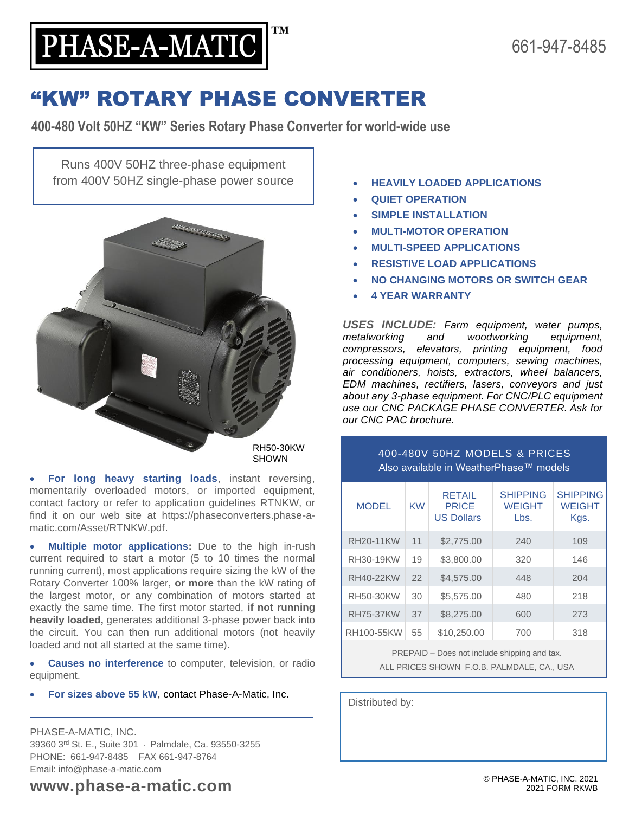**TM** 

# "KW" ROTARY PHASE CONVERTER

**400-480 Volt 50HZ "KW" Series Rotary Phase Converter for world-wide use**

Runs 400V 50HZ three-phase equipment from 400V 50HZ single-phase power source • **HEAVILY LOADED APPLICATIONS**

PHASE-A-MATIC

Ē



• **For long heavy starting loads**, instant reversing, momentarily overloaded motors, or imported equipment, contact factory or refer to application guidelines RTNKW, or find it on our web site at https://phaseconverters.phase-amatic.com/Asset/RTNKW.pdf.

• **Multiple motor applications:** Due to the high in-rush current required to start a motor (5 to 10 times the normal running current), most applications require sizing the kW of the Rotary Converter 100% larger, **or more** than the kW rating of the largest motor, or any combination of motors started at exactly the same time. The first motor started, **if not running heavily loaded,** generates additional 3-phase power back into the circuit. You can then run additional motors (not heavily loaded and not all started at the same time).

• **Causes no interference** to computer, television, or radio equipment.

• **For sizes above 55 kW**, contact Phase-A-Matic, Inc.

PHASE-A-MATIC, INC. 39360 3rd St. E., Suite 301 · Palmdale, Ca. 93550-3255 PHONE: 661-947-8485 FAX 661-947-8764 Email: info@phase-a-matic.com

- 
- **QUIET OPERATION**
- **SIMPLE INSTALLATION**
- **MULTI-MOTOR OPERATION**
- **MULTI-SPEED APPLICATIONS**
- **RESISTIVE LOAD APPLICATIONS**
- **NO CHANGING MOTORS OR SWITCH GEAR**
- **4 YEAR WARRANTY**

*USES INCLUDE: Farm equipment, water pumps, metalworking and woodworking equipment, compressors, elevators, printing equipment, food processing equipment, computers, sewing machines, air conditioners, hoists, extractors, wheel balancers, EDM machines, rectifiers, lasers, conveyors and just about any 3-phase equipment. For CNC/PLC equipment use our CNC PACKAGE PHASE CONVERTER. Ask for our CNC PAC brochure.*

#### 400-480V 50HZ MODELS & PRICES Also available in WeatherPhase™ models

| <b>MODEL</b>     | KW | RETAIL<br><b>PRICE</b><br><b>US Dollars</b> | <b>SHIPPING</b><br><b>WEIGHT</b><br>Lbs. | <b>SHIPPING</b><br><b>WEIGHT</b><br>Kgs. |
|------------------|----|---------------------------------------------|------------------------------------------|------------------------------------------|
| <b>RH20-11KW</b> | 11 | \$2,775.00                                  | 240                                      | 109                                      |
| RH30-19KW        | 19 | \$3,800.00                                  | 320                                      | 146                                      |
| <b>RH40-22KW</b> | 22 | \$4,575.00                                  | 448                                      | 204                                      |
| RH50-30KW        | 30 | \$5,575,00                                  | 480                                      | 218                                      |
| <b>RH75-37KW</b> | 37 | \$8,275,00                                  | 600                                      | 273                                      |
| RH100-55KW       | 55 | \$10,250.00                                 | 700                                      | 318                                      |
|                  |    |                                             |                                          |                                          |

PREPAID – Does not include shipping and tax.

ALL PRICES SHOWN F.O.B. PALMDALE, CA., USA

Distributed by:

**www.phase-a-matic.com**